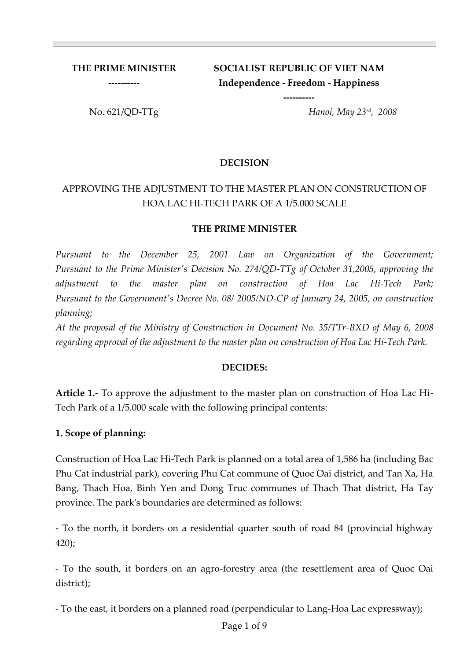**THE PRIME MINISTER**

**----------**

**SOCIALIST REPUBLIC OF VIET NAM Independence - Freedom - Happiness**

**----------**

No. 621/QD-TTg *Hanoi, May 23rd, 2008*

#### **DECISION**

# APPROVING THE ADJUSTMENT TO THE MASTER PLAN ON CONSTRUCTION OF HOA LAC HI-TECH PARK OF A 1/5.000 SCALE

#### **THE PRIME MINISTER**

*Pursuant to the December 25, 2001 Law on Organization of the Government; Pursuant to the Prime Minister's Decision No. 274/QD-TTg of October 31,2005, approving the adjustment to the master plan on construction of Hoa Lac Hi-Tech Park; Pursuant to the Government's Decree No. 08/ 2005/ND-CP of January 24, 2005, on construction planning;*

*At the proposal of the Ministry of Construction in Document No. 35/TTr-BXD of May 6, 2008 regarding approval of the adjustment to the master plan on construction of Hoa Lac Hi-Tech Park.*

#### **DECIDES:**

**Article 1.-** To approve the adjustment to the master plan on construction of Hoa Lac Hi-Tech Park of a 1/5.000 scale with the following principal contents:

#### **1. Scope of planning:**

Construction of Hoa Lac Hi-Tech Park is planned on a total area of 1,586 ha (including Bac Phu Cat industrial park), covering Phu Cat commune of Quoc Oai district, and Tan Xa, Ha Bang, Thach Hoa, Binh Yen and Dong Truc communes of Thach That district, Ha Tay province. The park's boundaries are determined as follows:

- To the north, it borders on a residential quarter south of road 84 (provincial highway 420);

- To the south, it borders on an agro-forestry area (the resettlement area of Quoc Oai district);

- To the east, it borders on a planned road (perpendicular to Lang-Hoa Lac expressway);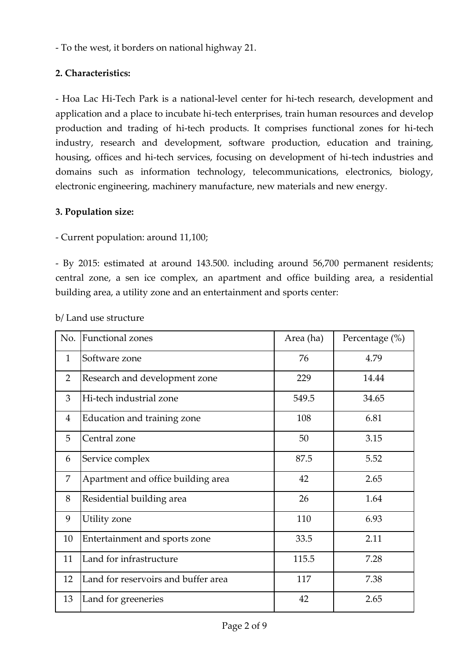- To the west, it borders on national highway 21.

# **2. Characteristics:**

- Hoa Lac Hi-Tech Park is a national-level center for hi-tech research, development and application and a place to incubate hi-tech enterprises, train human resources and develop production and trading of hi-tech products. It comprises functional zones for hi-tech industry, research and development, software production, education and training, housing, offices and hi-tech services, focusing on development of hi-tech industries and domains such as information technology, telecommunications, electronics, biology, electronic engineering, machinery manufacture, new materials and new energy.

#### **3. Population size:**

- Current population: around 11,100;

- By 2015: estimated at around 143.500. including around 56,700 permanent residents; central zone, a sen ice complex, an apartment and office building area, a residential building area, a utility zone and an entertainment and sports center:

| No.            | Functional zones                    | Area (ha) | Percentage (%) |
|----------------|-------------------------------------|-----------|----------------|
| $\mathbf{1}$   | Software zone                       | 76        | 4.79           |
| $\overline{2}$ | Research and development zone       | 229       | 14.44          |
| 3              | Hi-tech industrial zone             | 549.5     | 34.65          |
| $\overline{4}$ | Education and training zone         | 108       | 6.81           |
| 5              | Central zone                        | 50        | 3.15           |
| 6              | Service complex                     | 87.5      | 5.52           |
| 7              | Apartment and office building area  | 42        | 2.65           |
| 8              | Residential building area           | 26        | 1.64           |
| 9              | Utility zone                        | 110       | 6.93           |
| 10             | Entertainment and sports zone       | 33.5      | 2.11           |
| 11             | Land for infrastructure             | 115.5     | 7.28           |
| 12             | Land for reservoirs and buffer area | 117       | 7.38           |
| 13             | Land for greeneries                 | 42        | 2.65           |

b/ Land use structure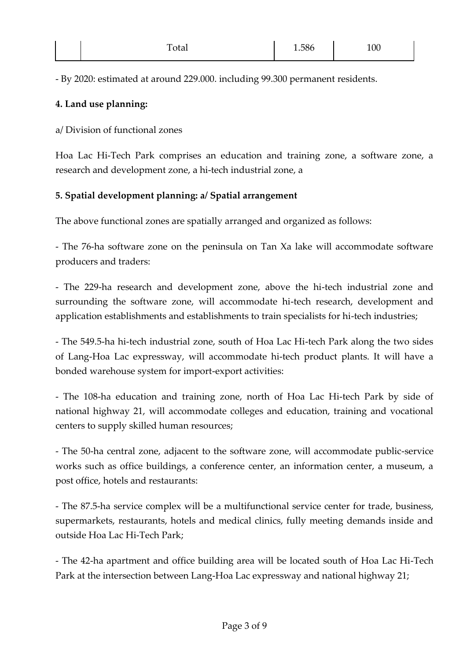| Total | 1.586 | 100 |
|-------|-------|-----|
|-------|-------|-----|

- By 2020: estimated at around 229.000. including 99.300 permanent residents.

### **4. Land use planning:**

### a/ Division of functional zones

Hoa Lac Hi-Tech Park comprises an education and training zone, a software zone, a research and development zone, a hi-tech industrial zone, a

## **5. Spatial development planning: a/ Spatial arrangement**

The above functional zones are spatially arranged and organized as follows:

- The 76-ha software zone on the peninsula on Tan Xa lake will accommodate software producers and traders:

- The 229-ha research and development zone, above the hi-tech industrial zone and surrounding the software zone, will accommodate hi-tech research, development and application establishments and establishments to train specialists for hi-tech industries;

- The 549.5-ha hi-tech industrial zone, south of Hoa Lac Hi-tech Park along the two sides of Lang-Hoa Lac expressway, will accommodate hi-tech product plants. It will have a bonded warehouse system for import-export activities:

- The 108-ha education and training zone, north of Hoa Lac Hi-tech Park by side of national highway 21, will accommodate colleges and education, training and vocational centers to supply skilled human resources;

- The 50-ha central zone, adjacent to the software zone, will accommodate public-service works such as office buildings, a conference center, an information center, a museum, a post office, hotels and restaurants:

- The 87.5-ha service complex will be a multifunctional service center for trade, business, supermarkets, restaurants, hotels and medical clinics, fully meeting demands inside and outside Hoa Lac Hi-Tech Park;

- The 42-ha apartment and office building area will be located south of Hoa Lac Hi-Tech Park at the intersection between Lang-Hoa Lac expressway and national highway 21;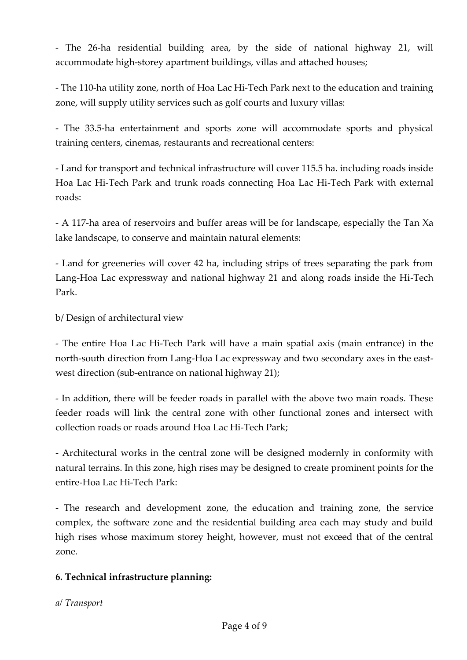- The 26-ha residential building area, by the side of national highway 21, will accommodate high-storey apartment buildings, villas and attached houses;

- The 110-ha utility zone, north of Hoa Lac Hi-Tech Park next to the education and training zone, will supply utility services such as golf courts and luxury villas:

- The 33.5-ha entertainment and sports zone will accommodate sports and physical training centers, cinemas, restaurants and recreational centers:

- Land for transport and technical infrastructure will cover 115.5 ha. including roads inside Hoa Lac Hi-Tech Park and trunk roads connecting Hoa Lac Hi-Tech Park with external roads:

- A 117-ha area of reservoirs and buffer areas will be for landscape, especially the Tan Xa lake landscape, to conserve and maintain natural elements:

- Land for greeneries will cover 42 ha, including strips of trees separating the park from Lang-Hoa Lac expressway and national highway 21 and along roads inside the Hi-Tech Park.

b/ Design of architectural view

- The entire Hoa Lac Hi-Tech Park will have a main spatial axis (main entrance) in the north-south direction from Lang-Hoa Lac expressway and two secondary axes in the eastwest direction (sub-entrance on national highway 21);

- In addition, there will be feeder roads in parallel with the above two main roads. These feeder roads will link the central zone with other functional zones and intersect with collection roads or roads around Hoa Lac Hi-Tech Park;

- Architectural works in the central zone will be designed modernly in conformity with natural terrains. In this zone, high rises may be designed to create prominent points for the entire-Hoa Lac Hi-Tech Park:

- The research and development zone, the education and training zone, the service complex, the software zone and the residential building area each may study and build high rises whose maximum storey height, however, must not exceed that of the central zone.

#### **6. Technical infrastructure planning:**

*a/ Transport*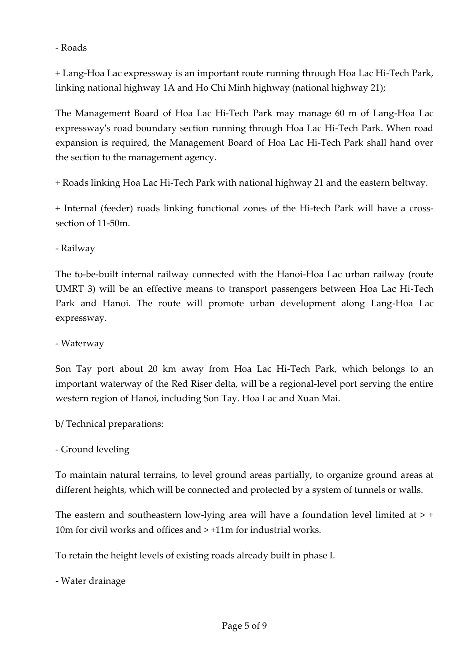- Roads

+ Lang-Hoa Lac expressway is an important route running through Hoa Lac Hi-Tech Park, linking national highway 1A and Ho Chi Minh highway (national highway 21);

The Management Board of Hoa Lac Hi-Tech Park may manage 60 m of Lang-Hoa Lac expressway's road boundary section running through Hoa Lac Hi-Tech Park. When road expansion is required, the Management Board of Hoa Lac Hi-Tech Park shall hand over the section to the management agency.

+ Roads linking Hoa Lac Hi-Tech Park with national highway 21 and the eastern beltway.

+ Internal (feeder) roads linking functional zones of the Hi-tech Park will have a crosssection of 11-50m.

- Railway

The to-be-built internal railway connected with the Hanoi-Hoa Lac urban railway (route UMRT 3) will be an effective means to transport passengers between Hoa Lac Hi-Tech Park and Hanoi. The route will promote urban development along Lang-Hoa Lac expressway.

- Waterway

Son Tay port about 20 km away from Hoa Lac Hi-Tech Park, which belongs to an important waterway of the Red Riser delta, will be a regional-level port serving the entire western region of Hanoi, including Son Tay. Hoa Lac and Xuan Mai.

b/ Technical preparations:

To maintain natural terrains, to level ground areas partially, to organize ground areas at different heights, which will be connected and protected by a system of tunnels or walls.

The eastern and southeastern low-lying area will have a foundation level limited at  $>$  + 10m for civil works and offices and > +11m for industrial works.

To retain the height levels of existing roads already built in phase I.

- Water drainage

<sup>-</sup> Ground leveling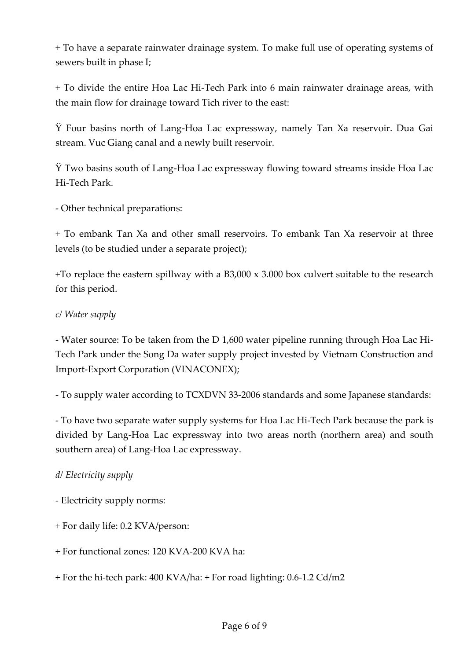+ To have a separate rainwater drainage system. To make full use of operating systems of sewers built in phase I;

+ To divide the entire Hoa Lac Hi-Tech Park into 6 main rainwater drainage areas, with the main flow for drainage toward Tich river to the east:

Ÿ Four basins north of Lang-Hoa Lac expressway, namely Tan Xa reservoir. Dua Gai stream. Vuc Giang canal and a newly built reservoir.

Ÿ Two basins south of Lang-Hoa Lac expressway flowing toward streams inside Hoa Lac Hi-Tech Park.

- Other technical preparations:

+ To embank Tan Xa and other small reservoirs. To embank Tan Xa reservoir at three levels (to be studied under a separate project);

+To replace the eastern spillway with a B3,000 x 3.000 box culvert suitable to the research for this period.

#### *c/ Water supply*

- Water source: To be taken from the D 1,600 water pipeline running through Hoa Lac Hi-Tech Park under the Song Da water supply project invested by Vietnam Construction and Import-Export Corporation (VINACONEX);

- To supply water according to TCXDVN 33-2006 standards and some Japanese standards:

- To have two separate water supply systems for Hoa Lac Hi-Tech Park because the park is divided by Lang-Hoa Lac expressway into two areas north (northern area) and south southern area) of Lang-Hoa Lac expressway.

#### *d/ Electricity supply*

- Electricity supply norms:
- + For daily life: 0.2 KVA/person:
- + For functional zones: 120 KVA-200 KVA ha:
- + For the hi-tech park: 400 KVA/ha: + For road lighting: 0.6-1.2 Cd/m2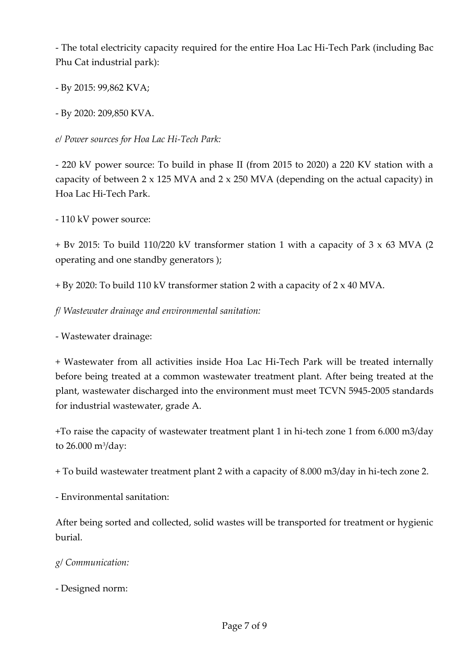- The total electricity capacity required for the entire Hoa Lac Hi-Tech Park (including Bac Phu Cat industrial park):

- By 2015: 99,862 KVA;

- By 2020: 209,850 KVA.

*e/ Power sources for Hoa Lac Hi-Tech Park:*

- 220 kV power source: To build in phase II (from 2015 to 2020) a 220 KV station with a capacity of between  $2 \times 125$  MVA and  $2 \times 250$  MVA (depending on the actual capacity) in Hoa Lac Hi-Tech Park.

- 110 kV power source:

+ Bv 2015: To build 110/220 kV transformer station 1 with a capacity of 3 x 63 MVA (2 operating and one standby generators );

+ By 2020: To build 110 kV transformer station 2 with a capacity of 2 x 40 MVA.

*f/ Wastewater drainage and environmental sanitation:*

- Wastewater drainage:

+ Wastewater from all activities inside Hoa Lac Hi-Tech Park will be treated internally before being treated at a common wastewater treatment plant. After being treated at the plant, wastewater discharged into the environment must meet TCVN 5945-2005 standards for industrial wastewater, grade A.

+To raise the capacity of wastewater treatment plant 1 in hi-tech zone 1 from 6.000 m3/day to 26.000 m<sup>3</sup> /day:

+ To build wastewater treatment plant 2 with a capacity of 8.000 m3/day in hi-tech zone 2.

- Environmental sanitation:

After being sorted and collected, solid wastes will be transported for treatment or hygienic burial.

*g/ Communication:*

- Designed norm: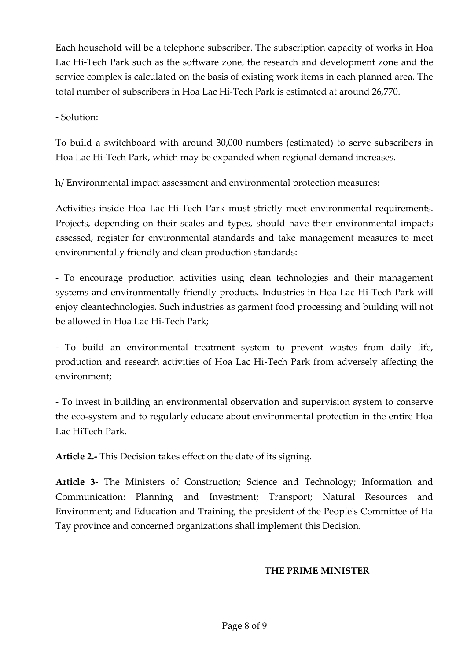Each household will be a telephone subscriber. The subscription capacity of works in Hoa Lac Hi-Tech Park such as the software zone, the research and development zone and the service complex is calculated on the basis of existing work items in each planned area. The total number of subscribers in Hoa Lac Hi-Tech Park is estimated at around 26,770.

- Solution:

To build a switchboard with around 30,000 numbers (estimated) to serve subscribers in Hoa Lac Hi-Tech Park, which may be expanded when regional demand increases.

h/ Environmental impact assessment and environmental protection measures:

Activities inside Hoa Lac Hi-Tech Park must strictly meet environmental requirements. Projects, depending on their scales and types, should have their environmental impacts assessed, register for environmental standards and take management measures to meet environmentally friendly and clean production standards:

- To encourage production activities using clean technologies and their management systems and environmentally friendly products. Industries in Hoa Lac Hi-Tech Park will enjoy cleantechnologies. Such industries as garment food processing and building will not be allowed in Hoa Lac Hi-Tech Park;

- To build an environmental treatment system to prevent wastes from daily life, production and research activities of Hoa Lac Hi-Tech Park from adversely affecting the environment;

- To invest in building an environmental observation and supervision system to conserve the eco-system and to regularly educate about environmental protection in the entire Hoa Lac HiTech Park.

**Article 2.-** This Decision takes effect on the date of its signing.

**Article 3-** The Ministers of Construction; Science and Technology; Information and Communication: Planning and Investment; Transport; Natural Resources and Environment; and Education and Training, the president of the People's Committee of Ha Tay province and concerned organizations shall implement this Decision.

#### **THE PRIME MINISTER**